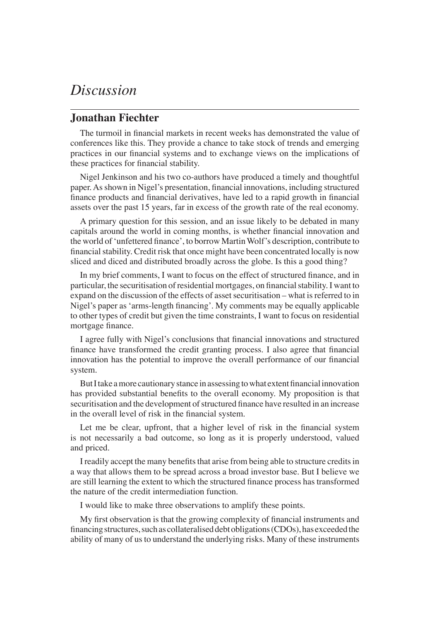## *Discussion*

## **Jonathan Fiechter**

The turmoil in financial markets in recent weeks has demonstrated the value of conferences like this. They provide a chance to take stock of trends and emerging practices in our financial systems and to exchange views on the implications of these practices for financial stability.

Nigel Jenkinson and his two co-authors have produced a timely and thoughtful paper. As shown in Nigel's presentation, financial innovations, including structured finance products and financial derivatives, have led to a rapid growth in financial assets over the past 15 years, far in excess of the growth rate of the real economy.

A primary question for this session, and an issue likely to be debated in many capitals around the world in coming months, is whether financial innovation and the world of 'unfettered finance', to borrow Martin Wolf's description, contribute to financial stability. Credit risk that once might have been concentrated locally is now sliced and diced and distributed broadly across the globe. Is this a good thing?

In my brief comments, I want to focus on the effect of structured finance, and in particular, the securitisation of residential mortgages, on financial stability. I want to expand on the discussion of the effects of asset securitisation – what is referred to in Nigel's paper as 'arms-length financing'. My comments may be equally applicable to other types of credit but given the time constraints, I want to focus on residential mortgage finance.

I agree fully with Nigel's conclusions that financial innovations and structured finance have transformed the credit granting process. I also agree that financial innovation has the potential to improve the overall performance of our financial system.

But I take a more cautionary stance in assessing to what extent financial innovation has provided substantial benefits to the overall economy. My proposition is that securitisation and the development of structured finance have resulted in an increase in the overall level of risk in the financial system.

Let me be clear, upfront, that a higher level of risk in the financial system is not necessarily a bad outcome, so long as it is properly understood, valued and priced.

I readily accept the many benefits that arise from being able to structure credits in a way that allows them to be spread across a broad investor base. But I believe we are still learning the extent to which the structured finance process has transformed the nature of the credit intermediation function.

I would like to make three observations to amplify these points.

My first observation is that the growing complexity of financial instruments and financing structures, such as collateralised debt obligations (CDOs), has exceeded the ability of many of us to understand the underlying risks. Many of these instruments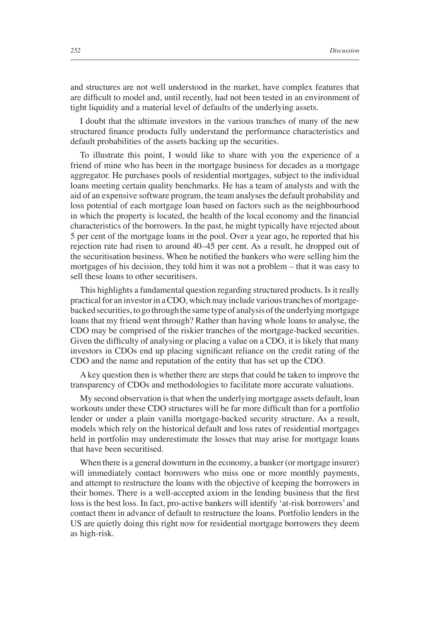and structures are not well understood in the market, have complex features that are difficult to model and, until recently, had not been tested in an environment of tight liquidity and a material level of defaults of the underlying assets.

I doubt that the ultimate investors in the various tranches of many of the new structured finance products fully understand the performance characteristics and default probabilities of the assets backing up the securities.

To illustrate this point, I would like to share with you the experience of a friend of mine who has been in the mortgage business for decades as a mortgage aggregator. He purchases pools of residential mortgages, subject to the individual loans meeting certain quality benchmarks. He has a team of analysts and with the aid of an expensive software program, the team analyses the default probability and loss potential of each mortgage loan based on factors such as the neighbourhood in which the property is located, the health of the local economy and the financial characteristics of the borrowers. In the past, he might typically have rejected about 5 per cent of the mortgage loans in the pool. Over a year ago, he reported that his rejection rate had risen to around 40–45 per cent. As a result, he dropped out of the securitisation business. When he notified the bankers who were selling him the mortgages of his decision, they told him it was not a problem – that it was easy to sell these loans to other securitisers.

This highlights a fundamental question regarding structured products. Is it really practical for an investor in a CDO, which may include various tranches of mortgagebacked securities, to go through the same type of analysis of the underlying mortgage loans that my friend went through? Rather than having whole loans to analyse, the CDO may be comprised of the riskier tranches of the mortgage-backed securities. Given the difficulty of analysing or placing a value on a CDO, it is likely that many investors in CDOs end up placing significant reliance on the credit rating of the CDO and the name and reputation of the entity that has set up the CDO.

A key question then is whether there are steps that could be taken to improve the transparency of CDOs and methodologies to facilitate more accurate valuations.

My second observation is that when the underlying mortgage assets default, loan workouts under these CDO structures will be far more difficult than for a portfolio lender or under a plain vanilla mortgage-backed security structure. As a result, models which rely on the historical default and loss rates of residential mortgages held in portfolio may underestimate the losses that may arise for mortgage loans that have been securitised.

When there is a general downturn in the economy, a banker (or mortgage insurer) will immediately contact borrowers who miss one or more monthly payments, and attempt to restructure the loans with the objective of keeping the borrowers in their homes. There is a well-accepted axiom in the lending business that the first loss is the best loss. In fact, pro-active bankers will identify 'at-risk borrowers' and contact them in advance of default to restructure the loans. Portfolio lenders in the US are quietly doing this right now for residential mortgage borrowers they deem as high-risk.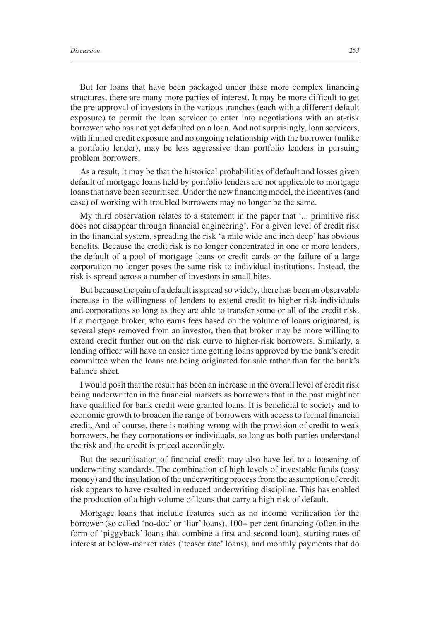But for loans that have been packaged under these more complex financing structures, there are many more parties of interest. It may be more difficult to get the pre-approval of investors in the various tranches (each with a different default exposure) to permit the loan servicer to enter into negotiations with an at-risk borrower who has not yet defaulted on a loan. And not surprisingly, loan servicers, with limited credit exposure and no ongoing relationship with the borrower (unlike a portfolio lender), may be less aggressive than portfolio lenders in pursuing problem borrowers.

As a result, it may be that the historical probabilities of default and losses given default of mortgage loans held by portfolio lenders are not applicable to mortgage loans that have been securitised. Under the new financing model, the incentives (and ease) of working with troubled borrowers may no longer be the same.

My third observation relates to a statement in the paper that '... primitive risk does not disappear through financial engineering'. For a given level of credit risk in the financial system, spreading the risk 'a mile wide and inch deep' has obvious benefits. Because the credit risk is no longer concentrated in one or more lenders, the default of a pool of mortgage loans or credit cards or the failure of a large corporation no longer poses the same risk to individual institutions. Instead, the risk is spread across a number of investors in small bites.

But because the pain of a default is spread so widely, there has been an observable increase in the willingness of lenders to extend credit to higher-risk individuals and corporations so long as they are able to transfer some or all of the credit risk. If a mortgage broker, who earns fees based on the volume of loans originated, is several steps removed from an investor, then that broker may be more willing to extend credit further out on the risk curve to higher-risk borrowers. Similarly, a lending officer will have an easier time getting loans approved by the bank's credit committee when the loans are being originated for sale rather than for the bank's balance sheet.

I would posit that the result has been an increase in the overall level of credit risk being underwritten in the financial markets as borrowers that in the past might not have qualified for bank credit were granted loans. It is beneficial to society and to economic growth to broaden the range of borrowers with access to formal financial credit. And of course, there is nothing wrong with the provision of credit to weak borrowers, be they corporations or individuals, so long as both parties understand the risk and the credit is priced accordingly.

But the securitisation of financial credit may also have led to a loosening of underwriting standards. The combination of high levels of investable funds (easy money) and the insulation of the underwriting process from the assumption of credit risk appears to have resulted in reduced underwriting discipline. This has enabled the production of a high volume of loans that carry a high risk of default.

Mortgage loans that include features such as no income verification for the borrower (so called 'no-doc' or 'liar' loans), 100+ per cent financing (often in the form of 'piggyback' loans that combine a first and second loan), starting rates of interest at below-market rates ('teaser rate' loans), and monthly payments that do